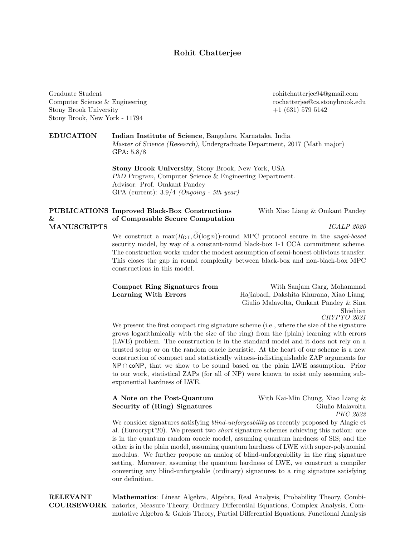## Rohit Chatterjee

Graduate Student Computer Science & Engineering Stony Brook University Stony Brook, New York - 11794

rohitchatterjee94@gmail.com rochatterjee@cs.stonybrook.edu +1 (631) 579 5142

EDUCATION Indian Institute of Science, Bangalore, Karnataka, India Master of Science (Research), Undergraduate Department, 2017 (Math major) GPA: 5.8/8

> Stony Brook University, Stony Brook, New York, USA PhD Program, Computer Science & Engineering Department. Advisor: Prof. Omkant Pandey GPA (current):  $3.9/4$  (Ongoing - 5th year)

## PUBLICATIONS Improved Black-Box Constructions & MANUSCRIPTS of Composable Secure Computation With Xiao Liang & Omkant Pandey ICALP 2020

We construct a max $(R_{\text{OT}}, \tilde{O}(\log n))$ -round MPC protocol secure in the *angel-based* security model, by way of a constant-round black-box 1-1 CCA commitment scheme. The construction works under the modest assumption of semi-honest oblivious transfer. This closes the gap in round complexity between black-box and non-black-box MPC constructions in this model.

|                      | Compact Ring Signatures from |  |
|----------------------|------------------------------|--|
| Learning With Errors |                              |  |

With Sanjam Garg, Mohammad Hajiabadi, Dakshita Khurana, Xiao Liang, Giulio Malavolta, Omkant Pandey & Sina Shiehian CRYPTO 2021

We present the first compact ring signature scheme (i.e., where the size of the signature grows logarithmically with the size of the ring) from the (plain) learning with errors (LWE) problem. The construction is in the standard model and it does not rely on a trusted setup or on the random oracle heuristic. At the heart of our scheme is a new construction of compact and statistically witness-indistinguishable ZAP arguments for NP∩ coNP, that we show to be sound based on the plain LWE assumption. Prior to our work, statistical ZAPs (for all of NP) were known to exist only assuming subexponential hardness of LWE.

## A Note on the Post-Quantum Security of (Ring) Signatures

With Kai-Min Chung, Xiao Liang & Giulio Malavolta PKC 2022

We consider signatures satisfying *blind-unforgeability* as recently proposed by Alagic et al. (Eurocrypt'20). We present two short signature schemes achieving this notion: one is in the quantum random oracle model, assuming quantum hardness of SIS; and the other is in the plain model, assuming quantum hardness of LWE with super-polynomial modulus. We further propose an analog of blind-unforgeability in the ring signature setting. Moreover, assuming the quantum hardness of LWE, we construct a compiler converting any blind-unforgeable (ordinary) signatures to a ring signature satisfying our definition.

RELEVANT COURSEWORK Mathematics: Linear Algebra, Algebra, Real Analysis, Probability Theory, Combinatorics, Measure Theory, Ordinary Differential Equations, Complex Analysis, Commutative Algebra & Galois Theory, Partial Differential Equations, Functional Analysis